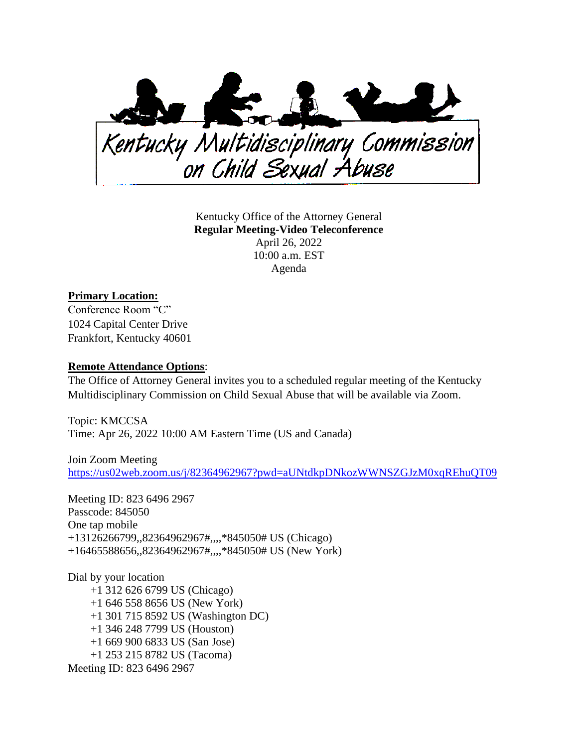

Kentucky Office of the Attorney General **Regular Meeting-Video Teleconference** April 26, 2022 10:00 a.m. EST Agenda

## **Primary Location:**

Conference Room "C" 1024 Capital Center Drive Frankfort, Kentucky 40601

## **Remote Attendance Options**:

The Office of Attorney General invites you to a scheduled regular meeting of the Kentucky Multidisciplinary Commission on Child Sexual Abuse that will be available via Zoom.

Topic: KMCCSA Time: Apr 26, 2022 10:00 AM Eastern Time (US and Canada)

Join Zoom Meeting [https://us02web.zoom.us/j/82364962967?pwd=aUNtdkpDNkozWWNSZGJzM0xqREhuQT09](https://urldefense.com/v3/__https:/us02web.zoom.us/j/82364962967?pwd=aUNtdkpDNkozWWNSZGJzM0xqREhuQT09__;!!Db6frn15oIvDD3UI!yAk0TVliUUyId1Sue1KyFvlj2J7pM7nH4UqSquTqBpKK9CDynoAQ0UNT8ADJEF6iWbKI$)

Meeting ID: 823 6496 2967 Passcode: 845050 One tap mobile +13126266799,,82364962967#,,,,\*845050# US (Chicago) +16465588656,,82364962967#,,,,\*845050# US (New York)

Dial by your location +1 312 626 6799 US (Chicago) +1 646 558 8656 US (New York) +1 301 715 8592 US (Washington DC) +1 346 248 7799 US (Houston) +1 669 900 6833 US (San Jose) +1 253 215 8782 US (Tacoma) Meeting ID: 823 6496 2967